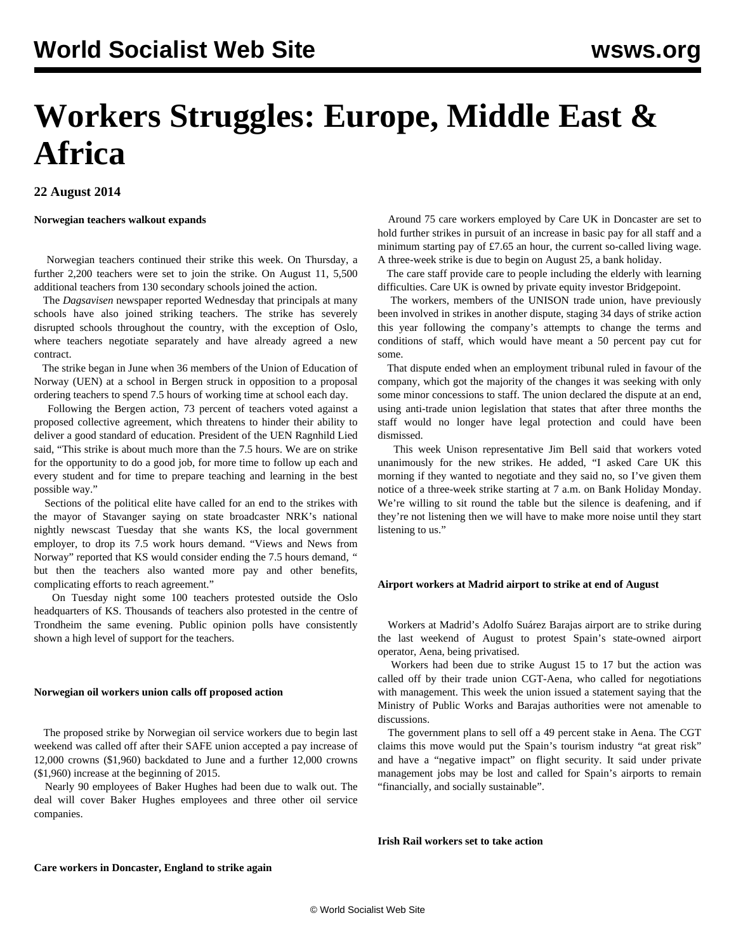# **Workers Struggles: Europe, Middle East & Africa**

# **22 August 2014**

## **Norwegian teachers walkout expands**

 Norwegian teachers continued their strike this week. On Thursday, a further 2,200 teachers were set to join the strike. On August 11, 5,500 additional teachers from 130 secondary schools joined the action.

 The *Dagsavisen* newspaper reported Wednesday that principals at many schools have also joined striking teachers. The strike has severely disrupted schools throughout the country, with the exception of Oslo, where teachers negotiate separately and have already agreed a new contract.

 The strike began in June when 36 members of the Union of Education of Norway (UEN) at a school in Bergen struck in opposition to a proposal ordering teachers to spend 7.5 hours of working time at school each day.

 Following the Bergen action, 73 percent of teachers voted against a proposed collective agreement, which threatens to hinder their ability to deliver a good standard of education. President of the UEN Ragnhild Lied said, "This strike is about much more than the 7.5 hours. We are on strike for the opportunity to do a good job, for more time to follow up each and every student and for time to prepare teaching and learning in the best possible way."

 Sections of the political elite have called for an end to the strikes with the mayor of Stavanger saying on state broadcaster NRK's national nightly newscast Tuesday that she wants KS, the local government employer, to drop its 7.5 work hours demand. "Views and News from Norway" reported that KS would consider ending the 7.5 hours demand, *"* but then the teachers also wanted more pay and other benefits, complicating efforts to reach agreement."

 On Tuesday night some 100 teachers protested outside the Oslo headquarters of KS. Thousands of teachers also protested in the centre of Trondheim the same evening. Public opinion polls have consistently shown a high level of support for the teachers.

## **Norwegian oil workers union calls off proposed action**

 The proposed strike by Norwegian oil service workers due to begin last weekend was called off after their SAFE union accepted a pay increase of 12,000 crowns (\$1,960) backdated to June and a further 12,000 crowns (\$1,960) increase at the beginning of 2015.

 Nearly 90 employees of Baker Hughes had been due to walk out. The deal will cover Baker Hughes employees and three other oil service companies.

 Around 75 care workers employed by Care UK in Doncaster are set to hold further strikes in pursuit of an increase in basic pay for all staff and a minimum starting pay of £7.65 an hour, the current so-called living wage. A three-week strike is due to begin on August 25, a bank holiday.

 The care staff provide care to people including the elderly with learning difficulties. Care UK is owned by private equity investor Bridgepoint.

 The workers, members of the UNISON trade union, have previously been involved in strikes in another dispute, staging 34 days of strike action this year following the company's attempts to change the terms and conditions of staff, which would have meant a 50 percent pay cut for some.

 That dispute ended when an employment tribunal ruled in favour of the company, which got the majority of the changes it was seeking with only some minor concessions to staff. The union declared the dispute at an end, using anti-trade union legislation that states that after three months the staff would no longer have legal protection and could have been dismissed.

 This week Unison representative Jim Bell said that workers voted unanimously for the new strikes. He added, "I asked Care UK this morning if they wanted to negotiate and they said no, so I've given them notice of a three-week strike starting at 7 a.m. on Bank Holiday Monday. We're willing to sit round the table but the silence is deafening, and if they're not listening then we will have to make more noise until they start listening to us."

## **Airport workers at Madrid airport to strike at end of August**

 Workers at Madrid's Adolfo Suárez Barajas airport are to strike during the last weekend of August to protest Spain's state-owned airport operator, Aena, being privatised.

 Workers had been due to strike August 15 to 17 but the action was called off by their trade union CGT-Aena, who called for negotiations with management. This week the union issued a statement saying that the Ministry of Public Works and Barajas authorities were not amenable to discussions.

 The government plans to sell off a 49 percent stake in Aena. The CGT claims this move would put the Spain's tourism industry "at great risk" and have a "negative impact" on flight security. It said under private management jobs may be lost and called for Spain's airports to remain "financially, and socially sustainable".

**Irish Rail workers set to take action**

## **Care workers in Doncaster, England to strike again**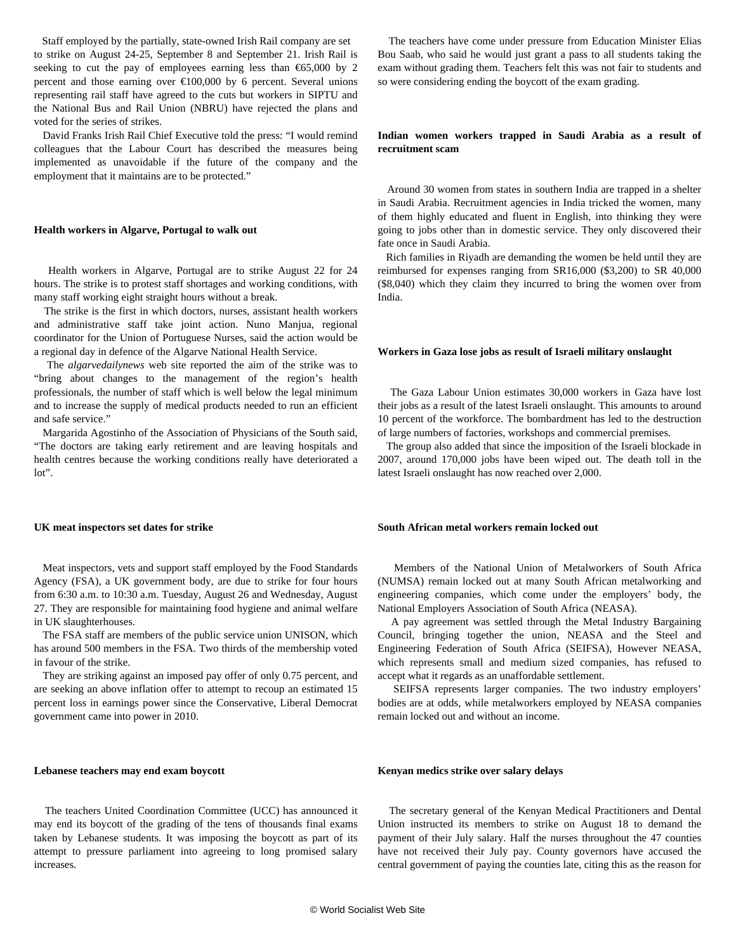Staff employed by the partially, state-owned Irish Rail company are set to strike on August 24-25, September 8 and September 21. Irish Rail is seeking to cut the pay of employees earning less than  $\epsilon$ 65,000 by 2 percent and those earning over  $\epsilon$ 100,000 by 6 percent. Several unions representing rail staff have agreed to the cuts but workers in SIPTU and the National Bus and Rail Union (NBRU) have rejected the plans and voted for the series of strikes.

 David Franks Irish Rail Chief Executive told the press: "I would remind colleagues that the Labour Court has described the measures being implemented as unavoidable if the future of the company and the employment that it maintains are to be protected."

## **Health workers in Algarve, Portugal to walk out**

 Health workers in Algarve, Portugal are to strike August 22 for 24 hours. The strike is to protest staff shortages and working conditions, with many staff working eight straight hours without a break.

 The strike is the first in which doctors, nurses, assistant health workers and administrative staff take joint action. Nuno Manjua, regional coordinator for the Union of Portuguese Nurses, said the action would be a regional day in defence of the Algarve National Health Service.

 The *algarvedailynews* web site reported the aim of the strike was to "bring about changes to the management of the region's health professionals, the number of staff which is well below the legal minimum and to increase the supply of medical products needed to run an efficient and safe service."

 Margarida Agostinho of the Association of Physicians of the South said, "The doctors are taking early retirement and are leaving hospitals and health centres because the working conditions really have deteriorated a lot".

 Meat inspectors, vets and support staff employed by the Food Standards Agency (FSA), a UK government body, are due to strike for four hours from 6:30 a.m. to 10:30 a.m. Tuesday, August 26 and Wednesday, August 27. They are responsible for maintaining food hygiene and animal welfare

 The FSA staff are members of the public service union UNISON, which has around 500 members in the FSA. Two thirds of the membership voted

 They are striking against an imposed pay offer of only 0.75 percent, and are seeking an above inflation offer to attempt to recoup an estimated 15 percent loss in earnings power since the Conservative, Liberal Democrat

#### **UK meat inspectors set dates for strike**

in UK slaughterhouses.

in favour of the strike.

Bou Saab, who said he would just grant a pass to all students taking the exam without grading them. Teachers felt this was not fair to students and so were considering ending the boycott of the exam grading.

The teachers have come under pressure from Education Minister Elias

# **Indian women workers trapped in Saudi Arabia as a result of recruitment scam**

 Around 30 women from states in southern India are trapped in a shelter in Saudi Arabia. Recruitment agencies in India tricked the women, many of them highly educated and fluent in English, into thinking they were going to jobs other than in domestic service. They only discovered their fate once in Saudi Arabia.

 Rich families in Riyadh are demanding the women be held until they are reimbursed for expenses ranging from SR16,000 (\$3,200) to SR 40,000 (\$8,040) which they claim they incurred to bring the women over from India.

## **Workers in Gaza lose jobs as result of Israeli military onslaught**

 The Gaza Labour Union estimates 30,000 workers in Gaza have lost their jobs as a result of the latest Israeli onslaught. This amounts to around 10 percent of the workforce. The bombardment has led to the destruction of large numbers of factories, workshops and commercial premises.

 The group also added that since the imposition of the Israeli blockade in 2007, around 170,000 jobs have been wiped out. The death toll in the latest Israeli onslaught has now reached over 2,000.

## **South African metal workers remain locked out**

 Members of the National Union of Metalworkers of South Africa (NUMSA) remain locked out at many South African metalworking and engineering companies, which come under the employers' body, the National Employers Association of South Africa (NEASA).

 A pay agreement was settled through the Metal Industry Bargaining Council, bringing together the union, NEASA and the Steel and Engineering Federation of South Africa (SEIFSA), However NEASA, which represents small and medium sized companies, has refused to accept what it regards as an unaffordable settlement.

 SEIFSA represents larger companies. The two industry employers' bodies are at odds, while metalworkers employed by NEASA companies remain locked out and without an income.

## **Lebanese teachers may end exam boycott**

government came into power in 2010.

 The teachers United Coordination Committee (UCC) has announced it may end its boycott of the grading of the tens of thousands final exams taken by Lebanese students. It was imposing the boycott as part of its attempt to pressure parliament into agreeing to long promised salary increases.

## **Kenyan medics strike over salary delays**

 The secretary general of the Kenyan Medical Practitioners and Dental Union instructed its members to strike on August 18 to demand the payment of their July salary. Half the nurses throughout the 47 counties have not received their July pay. County governors have accused the central government of paying the counties late, citing this as the reason for